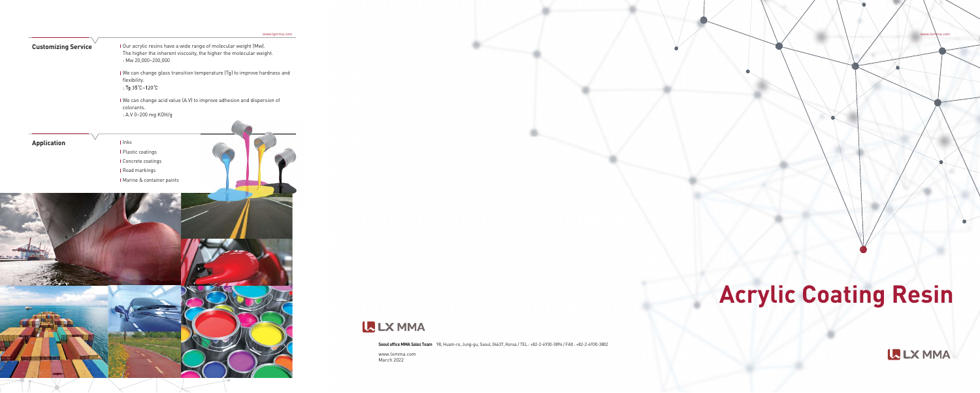# **Acrylic Coating Resin**

**LE LX MMA** 

www.lxmma.com

 $\bullet$ 

**Seoul office MMA Sales Team** 98, Huam-ro, Jung-gu, Seoul, 04637, Korea / TEL : +82-2-6930-3896 / FAX : +82-2-6930-3802

www.lxmma.com March 2022